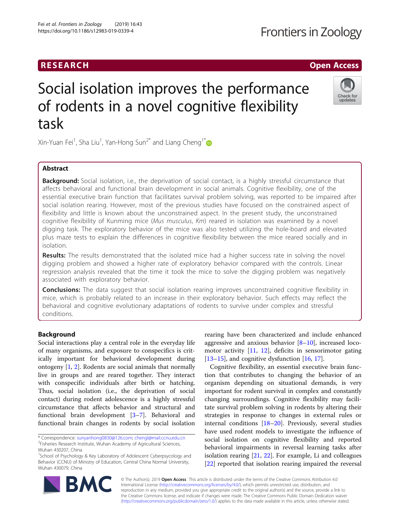Fei et al. Frontiers in Zoology (2019) 16:43 https://doi.org/10.1186/s12983-019-0339-4

Check for undates

# Social isolation improves the performance of rodents in a novel cognitive flexibility task

Xin-Yuan Fei<sup>1</sup>, Sha Liu<sup>1</sup>, Yan-Hong Sun<sup>2\*</sup> and Liang Cheng<sup>1\*</sup>

# Abstract

**Background:** Social isolation, i.e., the deprivation of social contact, is a highly stressful circumstance that affects behavioral and functional brain development in social animals. Cognitive flexibility, one of the essential executive brain function that facilitates survival problem solving, was reported to be impaired after social isolation rearing. However, most of the previous studies have focused on the constrained aspect of flexibility and little is known about the unconstrained aspect. In the present study, the unconstrained cognitive flexibility of Kunming mice (Mus musculus, Km) reared in isolation was examined by a novel digging task. The exploratory behavior of the mice was also tested utilizing the hole-board and elevated plus maze tests to explain the differences in cognitive flexibility between the mice reared socially and in isolation.

Results: The results demonstrated that the isolated mice had a higher success rate in solving the novel digging problem and showed a higher rate of exploratory behavior compared with the controls. Linear regression analysis revealed that the time it took the mice to solve the digging problem was negatively associated with exploratory behavior.

**Conclusions:** The data suggest that social isolation rearing improves unconstrained cognitive flexibility in mice, which is probably related to an increase in their exploratory behavior. Such effects may reflect the behavioral and cognitive evolutionary adaptations of rodents to survive under complex and stressful conditions.

# Background

Social interactions play a central role in the everyday life of many organisms, and exposure to conspecifics is critically important for behavioral development during ontogeny [[1](#page-6-0), [2](#page-6-0)]. Rodents are social animals that normally live in groups and are reared together. They interact with conspecific individuals after birth or hatching. Thus, social isolation (i.e., the deprivation of social contact) during rodent adolescence is a highly stressful circumstance that affects behavior and structural and functional brain development [[3](#page-6-0)–[7\]](#page-6-0). Behavioral and functional brain changes in rodents by social isolation

\* Correspondence: [sunyanhong0830@126.com](mailto:sunyanhong0830@126.com); [chengl@mail.ccnu.edu.cn](mailto:chengl@mail.ccnu.edu.cn) <sup>2</sup> <sup>2</sup>Fisheries Research Institute, Wuhan Academy of Agricultural Sciences,

rearing have been characterized and include enhanced aggressive and anxious behavior  $[8-10]$  $[8-10]$  $[8-10]$  $[8-10]$  $[8-10]$ , increased locomotor activity [[11,](#page-6-0) [12](#page-6-0)], deficits in sensorimotor gating  $[13–15]$  $[13–15]$  $[13–15]$  $[13–15]$  $[13–15]$ , and cognitive dysfunction  $[16, 17]$  $[16, 17]$  $[16, 17]$ .

Cognitive flexibility, an essential executive brain function that contributes to changing the behavior of an organism depending on situational demands, is very important for rodent survival in complex and constantly changing surroundings. Cognitive flexibility may facilitate survival problem solving in rodents by altering their strategies in response to changes in external rules or internal conditions [\[18](#page-7-0)–[20\]](#page-7-0). Previously, several studies have used rodent models to investigate the influence of social isolation on cognitive flexibility and reported behavioral impairments in reversal learning tasks after isolation rearing [[21,](#page-7-0) [22\]](#page-7-0). For example, Li and colleagues [[22\]](#page-7-0) reported that isolation rearing impaired the reversal



© The Author(s). 2019 **Open Access** This article is distributed under the terms of the Creative Commons Attribution 4.0 International License [\(http://creativecommons.org/licenses/by/4.0/](http://creativecommons.org/licenses/by/4.0/)), which permits unrestricted use, distribution, and reproduction in any medium, provided you give appropriate credit to the original author(s) and the source, provide a link to the Creative Commons license, and indicate if changes were made. The Creative Commons Public Domain Dedication waiver [\(http://creativecommons.org/publicdomain/zero/1.0/](http://creativecommons.org/publicdomain/zero/1.0/)) applies to the data made available in this article, unless otherwise stated.

Wuhan 430207, China

<sup>&</sup>lt;sup>1</sup>School of Psychology & Key Laboratory of Adolescent Cyberpsycology and Behavior (CCNU) of Ministry of Education, Central China Normal University, Wuhan 430079, China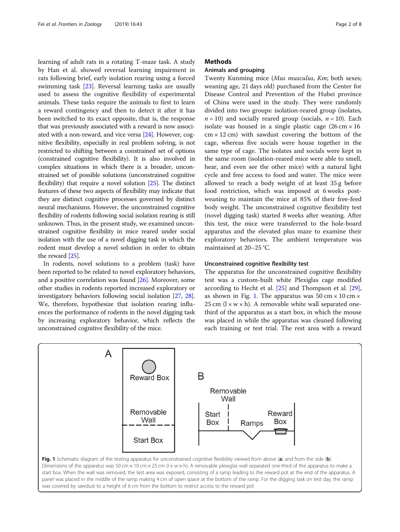learning of adult rats in a rotating T-maze task. A study by Han et al. showed reversal learning impairment in rats following brief, early isolation rearing using a forced swimming task [[23\]](#page-7-0). Reversal learning tasks are usually used to assess the cognitive flexibility of experimental animals. These tasks require the animals to first to learn a reward contingency and then to detect it after it has been switched to its exact opposite, that is, the response that was previously associated with a reward is now associated with a non-reward, and vice versa [[24](#page-7-0)]. However, cognitive flexibility, especially in real problem solving, is not restricted to shifting between a constrained set of options (constrained cognitive flexibility). It is also involved in complex situations in which there is a broader, unconstrained set of possible solutions (unconstrained cognitive flexibility) that require a novel solution [\[25\]](#page-7-0). The distinct features of these two aspects of flexibility may indicate that they are distinct cognitive processes governed by distinct neural mechanisms. However, the unconstrained cognitive flexibility of rodents following social isolation rearing is still unknown. Thus, in the present study, we examined unconstrained cognitive flexibility in mice reared under social isolation with the use of a novel digging task in which the rodent must develop a novel solution in order to obtain the reward [[25](#page-7-0)].

In rodents, novel solutions to a problem (task) have been reported to be related to novel exploratory behaviors, and a positive correlation was found [[26](#page-7-0)]. Moreover, some other studies in rodents reported increased exploratory or investigatory behaviors following social isolation [\[27,](#page-7-0) [28](#page-7-0)]. We, therefore, hypothesize that isolation rearing influences the performance of rodents in the novel digging task by increasing exploratory behavior, which reflects the unconstrained cognitive flexibility of the mice.

# **Methods**

# Animals and grouping

Twenty Kunming mice (Mus musculus, Km; both sexes; weaning age, 21 days old) purchased from the Center for Disease Control and Prevention of the Hubei province of China were used in the study. They were randomly divided into two groups: isolation-reared group (isolates,  $n = 10$ ) and socially reared group (socials,  $n = 10$ ). Each isolate was housed in a single plastic cage  $(26 \text{ cm} \times 16)$  $cm \times 12$  cm) with sawdust covering the bottom of the cage, whereas five socials were house together in the same type of cage. The isolates and socials were kept in the same room (isolation-reared mice were able to smell, hear, and even see the other mice) with a natural light cycle and free access to food and water. The mice were allowed to reach a body weight of at least 35 g before food restriction, which was imposed at 6 weeks postweaning to maintain the mice at 85% of their free-feed body weight. The unconstrained cognitive flexibility test (novel digging task) started 8 weeks after weaning. After this test, the mice were transferred to the hole-board apparatus and the elevated plus maze to examine their exploratory behaviors. The ambient temperature was maintained at 20–25 °C.

## Unconstrained cognitive flexibility test

The apparatus for the unconstrained cognitive flexibility test was a custom-built white Plexiglas cage modified according to Hecht et al. [\[25](#page-7-0)] and Thompson et al. [\[29](#page-7-0)], as shown in Fig. 1. The apparatus was  $50 \text{ cm} \times 10 \text{ cm} \times$ 25 cm  $(l \times w \times h)$ . A removable white wall separated onethird of the apparatus as a start box, in which the mouse was placed in while the apparatus was cleaned following each training or test trial. The rest area with a reward

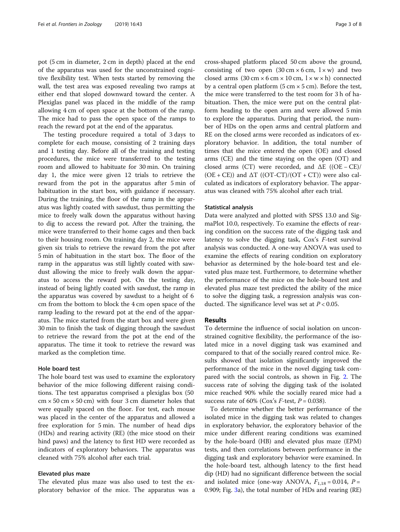pot (5 cm in diameter, 2 cm in depth) placed at the end of the apparatus was used for the unconstrained cognitive flexibility test. When tests started by removing the wall, the test area was exposed revealing two ramps at either end that sloped downward toward the center. A Plexiglas panel was placed in the middle of the ramp allowing 4 cm of open space at the bottom of the ramp. The mice had to pass the open space of the ramps to reach the reward pot at the end of the apparatus.

The testing procedure required a total of 3 days to complete for each mouse, consisting of 2 training days and 1 testing day. Before all of the training and testing procedures, the mice were transferred to the testing room and allowed to habituate for 30 min. On training day 1, the mice were given 12 trials to retrieve the reward from the pot in the apparatus after 5 min of habituation in the start box, with guidance if necessary. During the training, the floor of the ramp in the apparatus was lightly coated with sawdust, thus permitting the mice to freely walk down the apparatus without having to dig to access the reward pot. After the training, the mice were transferred to their home cages and then back to their housing room. On training day 2, the mice were given six trials to retrieve the reward from the pot after 5 min of habituation in the start box. The floor of the ramp in the apparatus was still lightly coated with sawdust allowing the mice to freely walk down the apparatus to access the reward pot. On the testing day, instead of being lightly coated with sawdust, the ramp in the apparatus was covered by sawdust to a height of 6 cm from the bottom to block the 4 cm open space of the ramp leading to the reward pot at the end of the apparatus. The mice started from the start box and were given 30 min to finish the task of digging through the sawdust to retrieve the reward from the pot at the end of the apparatus. The time it took to retrieve the reward was marked as the completion time.

## Hole board test

The hole board test was used to examine the exploratory behavior of the mice following different raising conditions. The test apparatus comprised a plexiglas box (50  $cm \times 50$  cm  $\times 50$  cm) with four 3 cm diameter holes that were equally spaced on the floor. For test, each mouse was placed in the center of the apparatus and allowed a free exploration for 5 min. The number of head dips (HDs) and rearing activity (RE) (the mice stood on their hind paws) and the latency to first HD were recorded as indicators of exploratory behaviors. The apparatus was cleaned with 75% alcohol after each trial.

#### Elevated plus maze

The elevated plus maze was also used to test the exploratory behavior of the mice. The apparatus was a cross-shaped platform placed 50 cm above the ground, consisting of two open  $(30 \text{ cm} \times 6 \text{ cm}, 1 \times \text{w})$  and two closed arms  $(30 \text{ cm} \times 6 \text{ cm} \times 10 \text{ cm}, 1 \times \text{w} \times \text{h})$  connected by a central open platform  $(5 \text{ cm} \times 5 \text{ cm})$ . Before the test, the mice were transferred to the test room for 3 h of habituation. Then, the mice were put on the central platform heading to the open arm and were allowed 5 min to explore the apparatus. During that period, the number of HDs on the open arms and central platform and RE on the closed arms were recorded as indicators of exploratory behavior. In addition, the total number of times that the mice entered the open (OE) and closed arms (CE) and the time staying on the open (OT) and closed arms (CT) were recorded, and  $\Delta E$  ((OE – CE)/  $(OE + CE)$  and  $\Delta T$  ((OT-CT)/(OT + CT)) were also calculated as indicators of exploratory behavior. The apparatus was cleaned with 75% alcohol after each trial.

# Statistical analysis

Data were analyzed and plotted with SPSS 13.0 and SigmaPlot 10.0, respectively. To examine the effects of rearing condition on the success rate of the digging task and latency to solve the digging task, Cox's F-test survival analysis was conducted. A one-way ANOVA was used to examine the effects of rearing condition on exploratory behavior as determined by the hole-board test and elevated plus maze test. Furthermore, to determine whether the performance of the mice on the hole-board test and elevated plus maze test predicted the ability of the mice to solve the digging task, a regression analysis was conducted. The significance level was set at  $P < 0.05$ .

# Results

To determine the influence of social isolation on unconstrained cognitive flexibility, the performance of the isolated mice in a novel digging task was examined and compared to that of the socially reared control mice. Results showed that isolation significantly improved the performance of the mice in the novel digging task compared with the social controls, as shown in Fig. [2](#page-3-0). The success rate of solving the digging task of the isolated mice reached 90% while the socially reared mice had a success rate of 60% (Cox's F-test,  $P = 0.038$ ).

To determine whether the better performance of the isolated mice in the digging task was related to changes in exploratory behavior, the exploratory behavior of the mice under different rearing conditions was examined by the hole-board (HB) and elevated plus maze (EPM) tests, and then correlations between performance in the digging task and exploratory behavior were examined. In the hole-board test, although latency to the first head dip (HD) had no significant difference between the social and isolated mice (one-way ANOVA,  $F_{1,18} = 0.014$ ,  $P =$ 0.909; Fig. [3](#page-3-0)a), the total number of HDs and rearing (RE)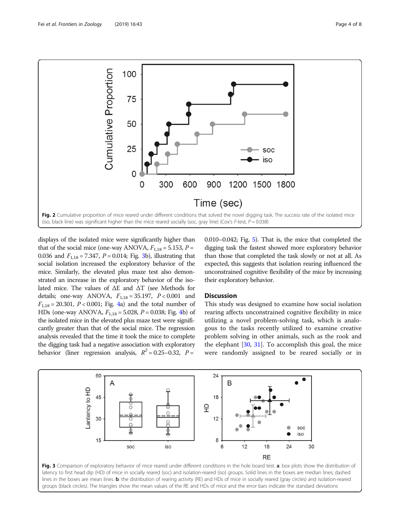<span id="page-3-0"></span>

displays of the isolated mice were significantly higher than that of the social mice (one-way ANOVA,  $F_{1,18} = 5.153$ ,  $P =$ 0.036 and  $F_{1,18} = 7.347$ ,  $P = 0.014$ ; Fig. 3b), illustrating that social isolation increased the exploratory behavior of the mice. Similarly, the elevated plus maze test also demonstrated an increase in the exploratory behavior of the isolated mice. The values of ΔE and ΔT (see Methods for details; one-way ANOVA,  $F_{1,18} = 35.197$ ,  $P < 0.001$  and  $F_{1,18} = 20.301, P < 0.001$ ; Fig. [4a](#page-4-0)) and the total number of HDs (one-way ANOVA,  $F_{1,18} = 5.028$ ,  $P = 0.038$ ; Fig. [4b](#page-4-0)) of the isolated mice in the elevated plus maze test were significantly greater than that of the social mice. The regression analysis revealed that the time it took the mice to complete the digging task had a negative association with exploratory behavior (liner regression analysis,  $R^2 = 0.25 - 0.32$ ,  $P =$ 

0.010–0.042; Fig. [5](#page-4-0)). That is, the mice that completed the digging task the fastest showed more exploratory behavior than those that completed the task slowly or not at all. As expected, this suggests that isolation rearing influenced the unconstrained cognitive flexibility of the mice by increasing their exploratory behavior.

### **Discussion**

This study was designed to examine how social isolation rearing affects unconstrained cognitive flexibility in mice utilizing a novel problem-solving task, which is analogous to the tasks recently utilized to examine creative problem solving in other animals, such as the rook and the elephant  $[30, 31]$  $[30, 31]$  $[30, 31]$  $[30, 31]$  $[30, 31]$ . To accomplish this goal, the mice were randomly assigned to be reared socially or in



groups (black circles). The triangles show the mean values of the RE and HDs of mice and the error bars indicate the standard deviations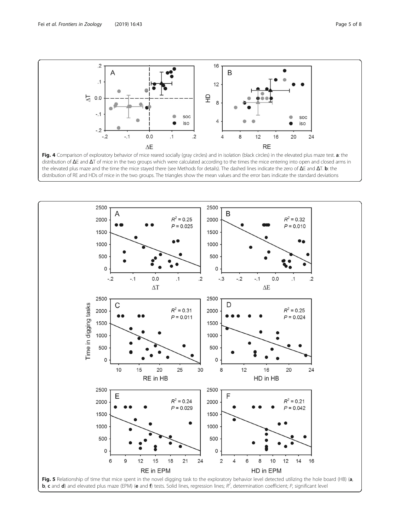<span id="page-4-0"></span>

Fig. 4 Comparison of exploratory behavior of mice reared socially (gray circles) and in isolation (black circles) in the elevated plus maze test. a: the distribution of ΔE and ΔT of mice in the two groups which were calculated according to the times the mice entering into open and closed arms in the elevated plus maze and the time the mice stayed there (see Methods for details). The dashed lines indicate the zero of  $\Delta E$  and  $\Delta T$ . **b**: the distribution of RE and HDs of mice in the two groups. The triangles show the mean values and the error bars indicate the standard deviations

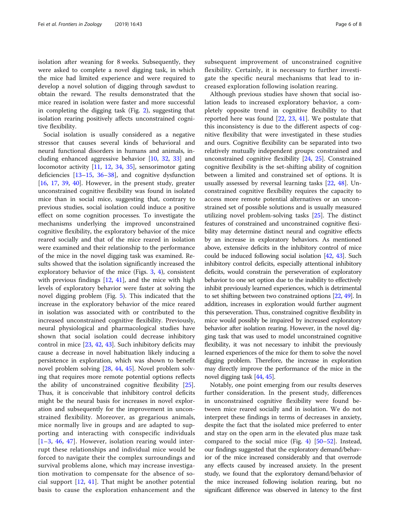isolation after weaning for 8 weeks. Subsequently, they were asked to complete a novel digging task, in which the mice had limited experience and were required to develop a novel solution of digging through sawdust to obtain the reward. The results demonstrated that the mice reared in isolation were faster and more successful in completing the digging task (Fig. [2\)](#page-3-0), suggesting that isolation rearing positively affects unconstrained cognitive flexibility.

Social isolation is usually considered as a negative stressor that causes several kinds of behavioral and neural functional disorders in humans and animals, including enhanced aggressive behavior [\[10](#page-6-0), [32,](#page-7-0) [33\]](#page-7-0) and locomotor activity [[11,](#page-6-0) [12,](#page-6-0) [34,](#page-7-0) [35\]](#page-7-0), sensorimotor gating deficiencies [[13](#page-6-0)–[15](#page-6-0), [36](#page-7-0)–[38](#page-7-0)], and cognitive dysfunction [[16,](#page-7-0) [17,](#page-7-0) [39,](#page-7-0) [40](#page-7-0)]. However, in the present study, greater unconstrained cognitive flexibility was found in isolated mice than in social mice, suggesting that, contrary to previous studies, social isolation could induce a positive effect on some cognition processes. To investigate the mechanisms underlying the improved unconstrained cognitive flexibility, the exploratory behavior of the mice reared socially and that of the mice reared in isolation were examined and their relationship to the performance of the mice in the novel digging task was examined. Results showed that the isolation significantly increased the exploratory behavior of the mice (Figs. [3,](#page-3-0) [4](#page-4-0)), consistent with previous findings  $[12, 41]$  $[12, 41]$  $[12, 41]$  $[12, 41]$  $[12, 41]$ , and the mice with high levels of exploratory behavior were faster at solving the novel digging problem (Fig. [5](#page-4-0)). This indicated that the increase in the exploratory behavior of the mice reared in isolation was associated with or contributed to the increased unconstrained cognitive flexibility. Previously, neural physiological and pharmacological studies have shown that social isolation could decrease inhibitory control in mice [\[23](#page-7-0), [42](#page-7-0), [43\]](#page-7-0). Such inhibitory deficits may cause a decrease in novel habituation likely inducing a persistence in exploration, which was shown to benefit novel problem solving [[28](#page-7-0), [44,](#page-7-0) [45\]](#page-7-0). Novel problem solving that requires more remote potential options reflects the ability of unconstrained cognitive flexibility [\[25](#page-7-0)]. Thus, it is conceivable that inhibitory control deficits might be the neural basis for increases in novel exploration and subsequently for the improvement in unconstrained flexibility. Moreover, as gregarious animals, mice normally live in groups and are adapted to supporting and interacting with conspecific individuals [[1](#page-6-0)–[3](#page-6-0), [46,](#page-7-0) [47](#page-7-0)]. However, isolation rearing would interrupt these relationships and individual mice would be forced to navigate their the complex surroundings and survival problems alone, which may increase investigation motivation to compensate for the absence of social support [[12,](#page-6-0) [41](#page-7-0)]. That might be another potential basis to cause the exploration enhancement and the subsequent improvement of unconstrained cognitive flexibility. Certainly, it is necessary to further investigate the specific neural mechanisms that lead to increased exploration following isolation rearing.

Although previous studies have shown that social isolation leads to increased exploratory behavior, a completely opposite trend in cognitive flexibility to that reported here was found [[22,](#page-7-0) [23](#page-7-0), [41\]](#page-7-0). We postulate that this inconsistency is due to the different aspects of cognitive flexibility that were investigated in these studies and ours. Cognitive flexibility can be separated into two relatively mutually independent groups: constrained and unconstrained cognitive flexibility [\[24](#page-7-0), [25](#page-7-0)]. Constrained cognitive flexibility is the set-shifting ability of cognition between a limited and constrained set of options. It is usually assessed by reversal learning tasks [\[22](#page-7-0), [48](#page-7-0)]. Unconstrained cognitive flexibility requires the capacity to access more remote potential alternatives or an unconstrained set of possible solutions and is usually measured utilizing novel problem-solving tasks [[25\]](#page-7-0). The distinct features of constrained and unconstrained cognitive flexibility may determine distinct neural and cognitive effects by an increase in exploratory behaviors. As mentioned above, extensive deficits in the inhibitory control of mice could be induced following social isolation [\[42,](#page-7-0) [43](#page-7-0)]. Such inhibitory control deficits, especially attentional inhibitory deficits, would constrain the perseveration of exploratory behavior to one set option due to the inability to effectively inhibit previously learned experiences, which is detrimental to set shifting between two constrained options [\[22,](#page-7-0) [49](#page-7-0)]. In addition, increases in exploration would further augment this perseveration. Thus, constrained cognitive flexibility in mice would possibly be impaired by increased exploratory behavior after isolation rearing. However, in the novel digging task that was used to model unconstrained cognitive flexibility, it was not necessary to inhibit the previously learned experiences of the mice for them to solve the novel digging problem. Therefore, the increase in exploration may directly improve the performance of the mice in the novel digging task [\[44,](#page-7-0) [45](#page-7-0)].

Notably, one point emerging from our results deserves further consideration. In the present study, differences in unconstrained cognitive flexibility were found between mice reared socially and in isolation. We do not interpret these findings in terms of decreases in anxiety, despite the fact that the isolated mice preferred to enter and stay on the open arm in the elevated plus maze task compared to the social mice (Fig. [4](#page-4-0)) [\[50](#page-7-0)–[52\]](#page-7-0). Instead, our findings suggested that the exploratory demand/behavior of the mice increased considerably and that overrode any effects caused by increased anxiety. In the present study, we found that the exploratory demand/behavior of the mice increased following isolation rearing, but no significant difference was observed in latency to the first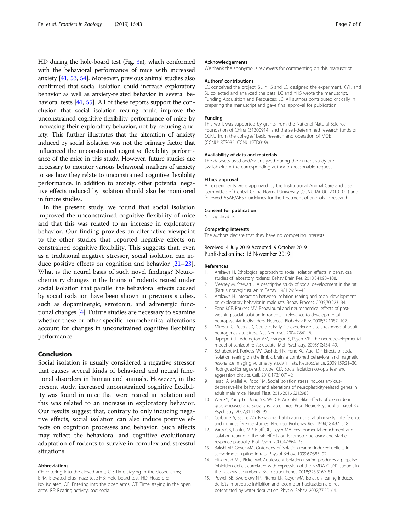<span id="page-6-0"></span>HD during the hole-board test (Fig. [3](#page-3-0)a), which conformed with the behavioral performance of mice with increased anxiety [\[41,](#page-7-0) [53](#page-7-0), [54\]](#page-7-0). Moreover, previous animal studies also confirmed that social isolation could increase exploratory behavior as well as anxiety-related behavior in several be-havioral tests [\[41](#page-7-0), [55\]](#page-7-0). All of these reports support the conclusion that social isolation rearing could improve the unconstrained cognitive flexibility performance of mice by increasing their exploratory behavior, not by reducing anxiety. This further illustrates that the alteration of anxiety induced by social isolation was not the primary factor that influenced the unconstrained cognitive flexibility performance of the mice in this study. However, future studies are necessary to monitor various behavioral markers of anxiety to see how they relate to unconstrained cognitive flexibility performance. In addition to anxiety, other potential negative effects induced by isolation should also be monitored in future studies.

In the present study, we found that social isolation improved the unconstrained cognitive flexibility of mice and that this was related to an increase in exploratory behavior. Our finding provides an alternative viewpoint to the other studies that reported negative effects on constrained cognitive flexibility. This suggests that, even as a traditional negative stressor, social isolation can induce positive effects on cognition and behavior [[21](#page-7-0)–[23](#page-7-0)]. What is the neural basis of such novel findings? Neurochemistry changes in the brains of rodents reared under social isolation that parallel the behavioral effects caused by social isolation have been shown in previous studies, such as dopaminergic, serotonin, and adrenergic functional changes [4]. Future studies are necessary to examine whether these or other specific neurochemical alterations account for changes in unconstrained cognitive flexibility performance.

# Conclusion

Social isolation is usually considered a negative stressor that causes several kinds of behavioral and neural functional disorders in human and animals. However, in the present study, increased unconstrained cognitive flexibility was found in mice that were reared in isolation and this was related to an increase in exploratory behavior. Our results suggest that, contrary to only inducing negative effects, social isolation can also induce positive effects on cognition processes and behavior. Such effects may reflect the behavioral and cognitive evolutionary adaptation of rodents to survive in complex and stressful situations.

#### Abbreviations

CE: Entering into the closed arms; CT: Time staying in the closed arms; EPM: Elevated plus maze test; HB: Hole board test; HD: Head dip; iso: isolated; OE: Entering into the open arms; OT: Time staying in the open arms; RE: Rearing activity; soc: social

#### Acknowledgements

We thank the anonymous reviewers for commenting on this manuscript.

#### Authors' contributions

LC conceived the project. SL, YHS and LC designed the experiment. XYF, and SL collected and analyzed the data. LC and YHS wrote the manuscript. Funding Acquisition and Resources: LC. All authors contributed critically in preparing the manuscript and gave final approval for publication.

#### Funding

This work was supported by grants from the National Natural Science Foundation of China (31300914) and the self-determined research funds of CCNU from the colleges' basic research and operation of MOE (CCNU18TS035, CCNU19TD019).

#### Availability of data and materials

The datasets used and/or analyzed during the current study are availablefrom the corresponding author on reasonable request.

#### Ethics approval

All experiments were approved by the Institutional Animal Care and Use Committee of Central China Normal University (CCNU-IACUC-2019-021) and followed ASAB/ABS Guidelines for the treatment of animals in research.

#### Consent for publication

Not applicable.

#### Competing interests

The authors declare that they have no competing interests.

#### Received: 4 July 2019 Accepted: 9 October 2019 Published online: 15 November 2019

#### References

- 1. Arakawa H. Ethological approach to social isolation effects in behavioral studies of laboratory rodents. Behav Brain Res. 2018;341:98–108.
- 2. Meaney M, Stewart J, A descriptive study of social development in the rat (Rattus norvegicus). Anim Behav. 1981;29:34–45.
- 3. Arakawa H. Interaction between isolation rearing and social development on exploratory behavior in male rats. Behav Process. 2005;70:223–34.
- 4. Fone KCF, Porkess MV. Behavioural and neurochemical effects of postweaning social isolation in rodents—relevance to developmental neuropsychiatric disorders. Neurosci Biobehav Rev. 2008;32:1087–102.
- 5. Mirescu C, Peters JD, Gould E. Early life experience alters response of adult neurogenesis to stress. Nat Neurosci. 2004;7:841–6.
- 6. Rapoport JL, Addington AM, Frangou S, Psych MR. The neurodevelopmental model of schizophrenia: update. Mol Psychiatry. 2005;10:434–49.
- 7. Schubert MI, Porkess MV, Dashdorj N, Fone KC, Auer DP. Effects of social isolation rearing on the limbic brain: a combined behavioral and magnetic resonance imaging volumetry study in rats. Neuroscience. 2009;159:21–30.
- 8. Rodriguez-Romaguera J, Stuber GD. Social isolation co-opts fear and aggression circuits. Cell. 2018;173:1071–2.
- 9. Ieraci A, Mallei A, Popoli M. Social isolation stress induces anxiousdepressive-like behavior and alterations of neuroplasticity-related genes in adult male mice. Neural Plast. 2016;2016:6212983.
- 10. Wei XY, Yang JY, Dong YX, Wu CF. Anxiolytic-like effects of oleamide in group-housed and socially isolated mice. Prog Neuro-Psychopharmacol Biol Psychiatry. 2007;31:1189–95.
- 11. Cerbone A, Sadile AG. Behavioral habituation to spatial novelty: interference and noninterference studies. Neurosci Biobehav Rev. 1994;18:497–518.
- 12. Varty GB, Paulus MP, Braff DL, Geyer MA. Environmental enrichment and isolation rearing in the rat: effects on locomotor behavior and startle response plasticity. Biol Psych. 2000;47:864–73.
- 13. Bakshi VP, Geyer MA. Ontogeny of isolation rearing-induced deficits in sensorimotor gating in rats. Physiol Behav. 1999;67:385–92.
- 14. Fitzgerald ML, Pickel VM. Adolescent isolation rearing produces a prepulse inhibition deficit correlated with expression of the NMDA GluN1 subunit in the nucleus accumbens. Brain Struct Funct. 2018;223:3169–81.
- 15. Powell SB, Swerdlow NR, Pitcher LK, Geyer MA. Isolation rearing-induced deficits in prepulse inhibition and locomotor habituation are not potentiated by water deprivation. Physiol Behav. 2002;77:55–64.